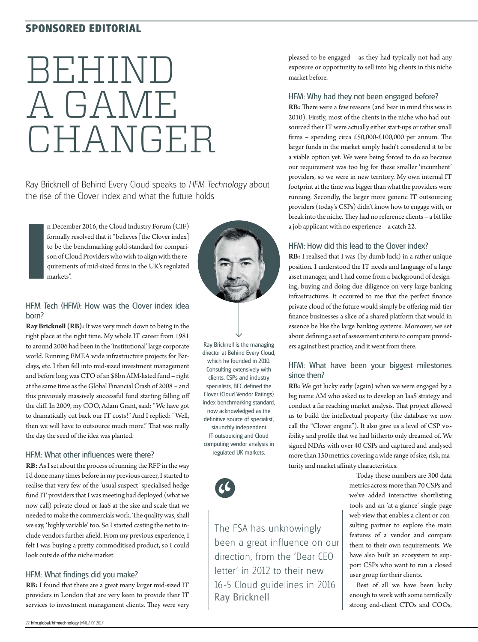# **SPONSORED EDITORIAL**

# BEHIND A GAME CHANGER

Ray Bricknell of Behind Every Cloud speaks to HFM Technology about the rise of the Clover index and what the future holds

n December 2016, the Cloud Industry Forum (CIF) formally resolved that it "believes [the Clover index] to be the benchmarking gold-standard for comparison of Cloud Providers who wish to align with the requirements of mid-sized firms in the UK's regulated markets".



#### HFM Tech (HFM): How was the Clover index idea born?

**I**

**Ray Bricknell (RB):** It was very much down to being in the right place at the right time. My whole IT career from 1981 to around 2006 had been in the 'institutional' large corporate world. Running EMEA wide infrastructure projects for Barclays, etc. I then fell into mid-sized investment management and before long was CTO of an \$8bn AIM-listed fund – right at the same time as the Global Financial Crash of 2008 – and this previously massively successful fund starting falling off the cliff. In 2009, my COO, Adam Grant, said: "We have got to dramatically cut back our IT costs!" And I replied: "Well, then we will have to outsource much more." That was really the day the seed of the idea was planted.

# HFM: What other influences were there?

**RB:** As I set about the process of running the RFP in the way I'd done many times before in my previous career, I started to realise that very few of the 'usual suspect' specialised hedge fund IT providers that I was meeting had deployed (what we now call) private cloud or IaaS at the size and scale that we needed to make the commercials work. The quality was, shall we say, 'highly variable' too. So I started casting the net to include vendors further afield. From my previous experience, I felt I was buying a pretty commoditised product, so I could look outside of the niche market.

# HFM: What findings did you make?

**RB:** I found that there are a great many larger mid-sized IT providers in London that are very keen to provide their IT services to investment management clients. They were very

Ray Bricknell is the managing director at Behind Every Cloud, which he founded in 2010. Consulting extensively with clients, CSPs and industry specialists, BEC defined the Clover (Cloud Vendor Ratings) index benchmarking standard, now acknowledged as the definitive source of specialist, staunchly independent IT outsourcing and Cloud computing vendor analysis in regulated UK markets.



The FSA has unknowingly been a great influence on our direction, from the 'Dear CEO letter' in 2012 to their new 16-5 Cloud guidelines in 2016 Ray Bricknell

pleased to be engaged – as they had typically not had any exposure or opportunity to sell into big clients in this niche market before.

# HFM: Why had they not been engaged before?

**RB:** There were a few reasons (and bear in mind this was in 2010). Firstly, most of the clients in the niche who had outsourced their IT were actually either start-ups or rather small firms – spending circa £50,000-£100,000 per annum. The larger funds in the market simply hadn't considered it to be a viable option yet. We were being forced to do so because our requirement was too big for these smaller 'incumbent' providers, so we were in new territory. My own internal IT footprint at the time was bigger than what the providers were running. Secondly, the larger more generic IT outsourcing providers (today's CSPs) didn't know how to engage with, or break into the niche. They had no reference clients - a bit like a job applicant with no experience – a catch 22.

# HFM: How did this lead to the Clover index?

**RB:** I realised that I was (by dumb luck) in a rather unique position. I understood the IT needs and language of a large asset manager, and I had come from a background of designing, buying and doing due diligence on very large banking infrastructures. It occurred to me that the perfect finance private cloud of the future would simply be offering mid-tier finance businesses a slice of a shared platform that would in essence be like the large banking systems. Moreover, we set about defining a set of assessment criteria to compare providers against best practice, and it went from there.

# HFM: What have been your biggest milestones since then?

**RB:** We got lucky early (again) when we were engaged by a big name AM who asked us to develop an IaaS strategy and conduct a far reaching market analysis. That project allowed us to build the intellectual property (the database we now call the "Clover engine"). It also gave us a level of CSP visibility and profile that we had hitherto only dreamed of. We signed NDAs with over 40 CSPs and captured and analysed more than 150 metrics covering a wide range of size, risk, maturity and market affinity characteristics.

> Today those numbers are 300 data metrics across more than 70 CSPs and we've added interactive shortlisting tools and an 'at-a-glance' single page web view that enables a client or consulting partner to explore the main features of a vendor and compare them to their own requirements. We have also built an ecosystem to support CSPs who want to run a closed user group for their clients.

> Best of all we have been lucky enough to work with some terrifically strong end-client CTOs and COOs,